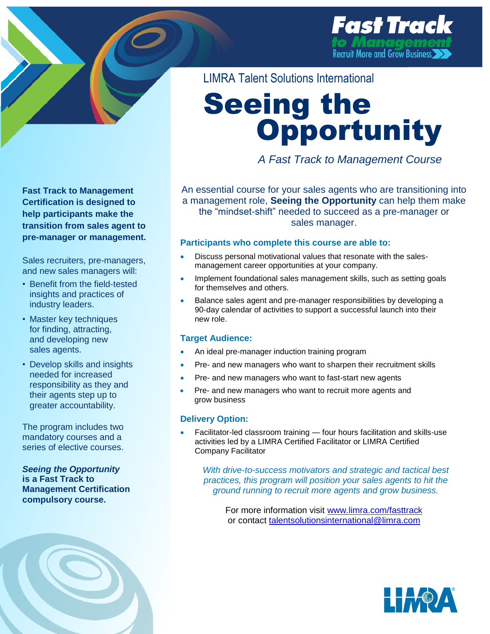

**Fast Track to Management Certification is designed to help participants make the transition from sales agent to pre-manager or management.**

Sales recruiters, pre-managers, and new sales managers will:

- Benefit from the field-tested insights and practices of industry leaders.
- Master key techniques for finding, attracting, and developing new sales agents.
- Develop skills and insights needed for increased responsibility as they and their agents step up to greater accountability.

The program includes two mandatory courses and a series of elective courses.

*Seeing the Opportunity* **is a Fast Track to Management Certification compulsory course.**



LIMRA Talent Solutions International

# Seeing the **Opportunity**

*A Fast Track to Management Course* 

An essential course for your sales agents who are transitioning into a management role, **Seeing the Opportunity** can help them make the "mindset-shift" needed to succeed as a pre-manager or sales manager.

#### **Participants who complete this course are able to:**

- Discuss personal motivational values that resonate with the salesmanagement career opportunities at your company.
- Implement foundational sales management skills, such as setting goals for themselves and others.
- Balance sales agent and pre-manager responsibilities by developing a 90-day calendar of activities to support a successful launch into their new role.

### **Target Audience:**

- An ideal pre-manager induction training program
- Pre- and new managers who want to sharpen their recruitment skills
- Pre- and new managers who want to fast-start new agents
- Pre- and new managers who want to recruit more agents and grow business

### **Delivery Option:**

 Facilitator-led classroom training — four hours facilitation and skills-use activities led by a LIMRA Certified Facilitator or LIMRA Certified Company Facilitator

*With drive-to-success motivators and strategic and tactical best practices, this program will position your sales agents to hit the ground running to recruit more agents and grow business.*

For more information visit [www.limra.com/fasttrack](http://www.limra.com/fasttrack) or contact [talentsolutionsinternational@limra.com](mailto:talentsolutionsinternational@limra.com?subject=FastTrack%20Seeing%20the%20Opportunity)